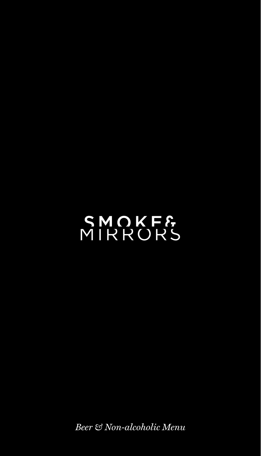# SMOKF&<br>MIRRORS

*Beer & Non-alcoholic Menu*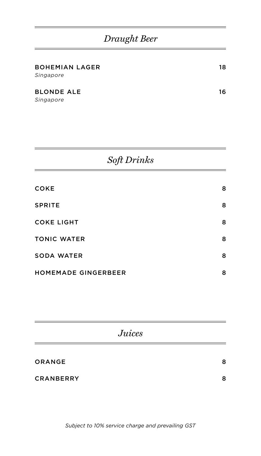## *Draught Beer*

| $\alpha$ $\alpha$ $\mathbf{n}$ $\cdot$ $\mathbf{1}$ |    |
|-----------------------------------------------------|----|
| Singapore                                           |    |
| <b>BLONDE ALE</b>                                   | 16 |
| <b>BOHEMIAN LAGER</b><br>Singapore                  | 18 |

|--|

| <b>COKE</b>                | 8 |
|----------------------------|---|
| <b>SPRITE</b>              | 8 |
| <b>COKE LIGHT</b>          | 8 |
| <b>TONIC WATER</b>         | 8 |
| <b>SODA WATER</b>          | 8 |
| <b>HOMEMADE GINGERBEER</b> | 8 |

| <b>Juices</b>    |   |
|------------------|---|
| <b>ORANGE</b>    | 8 |
| <b>CRANBERRY</b> | 8 |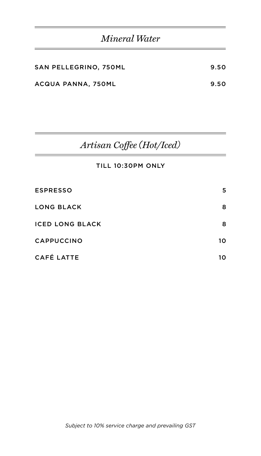| Mineral Water |  |
|---------------|--|
|---------------|--|

| SAN PELLEGRINO, 750ML | 9.50 |
|-----------------------|------|
| ACQUA PANNA, 750ML    | 9.50 |

# *Artisan Coffee (Hot/Iced)*

#### TILL 10:30PM ONLY

| <b>ESPRESSO</b>        | 5  |
|------------------------|----|
| <b>LONG BLACK</b>      | 8  |
| <b>ICED LONG BLACK</b> | 8  |
| <b>CAPPUCCINO</b>      | 10 |
| <b>CAFÉ LATTE</b>      | 10 |